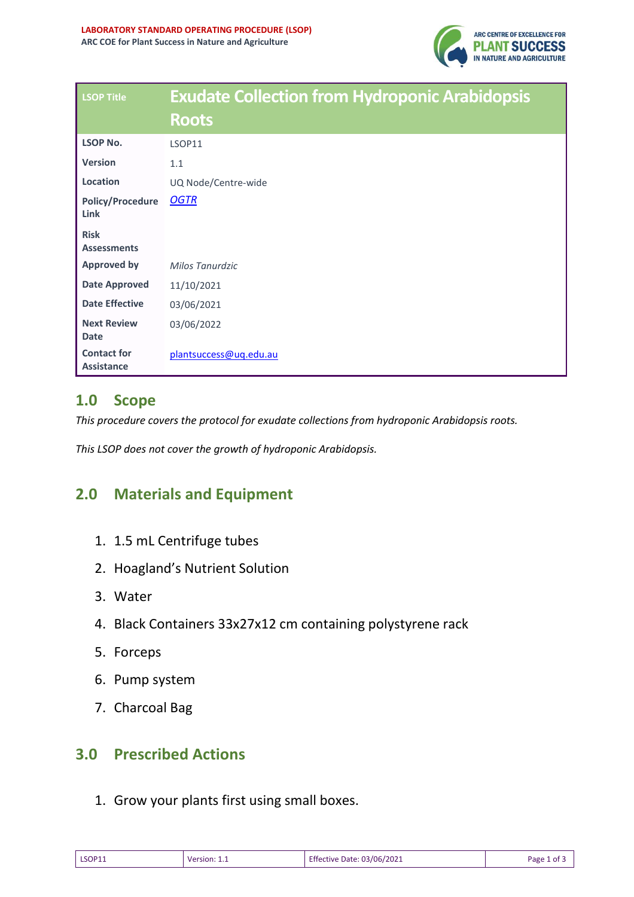

| <b>LSOP Title</b>                       | <b>Exudate Collection from Hydroponic Arabidopsis</b> |  |  |
|-----------------------------------------|-------------------------------------------------------|--|--|
|                                         | <b>Roots</b>                                          |  |  |
| <b>LSOP No.</b>                         | LSOP11                                                |  |  |
| <b>Version</b>                          | 1.1                                                   |  |  |
| Location                                | UQ Node/Centre-wide                                   |  |  |
| <b>Policy/Procedure</b><br>Link         | <b>OGTR</b>                                           |  |  |
| <b>Risk</b><br><b>Assessments</b>       |                                                       |  |  |
| <b>Approved by</b>                      | Milos Tanurdzic                                       |  |  |
| <b>Date Approved</b>                    | 11/10/2021                                            |  |  |
| <b>Date Effective</b>                   | 03/06/2021                                            |  |  |
| <b>Next Review</b><br><b>Date</b>       | 03/06/2022                                            |  |  |
| <b>Contact for</b><br><b>Assistance</b> | plantsuccess@uq.edu.au                                |  |  |

#### **1.0 Scope**

*This procedure covers the protocol for exudate collections from hydroponic Arabidopsis roots.*

*This LSOP does not cover the growth of hydroponic Arabidopsis.* 

## **2.0 Materials and Equipment**

- 1. 1.5 mL Centrifuge tubes
- 2. Hoagland's Nutrient Solution
- 3. Water
- 4. Black Containers 33x27x12 cm containing polystyrene rack
- 5. Forceps
- 6. Pump system
- 7. Charcoal Bag

# **3.0 Prescribed Actions**

1. Grow your plants first using small boxes.

| <b>LSOP11</b><br>______ | version <sup>.</sup> | <b>Effective Date: 03/06/2021</b><br>. | Page<br>οt |
|-------------------------|----------------------|----------------------------------------|------------|
|-------------------------|----------------------|----------------------------------------|------------|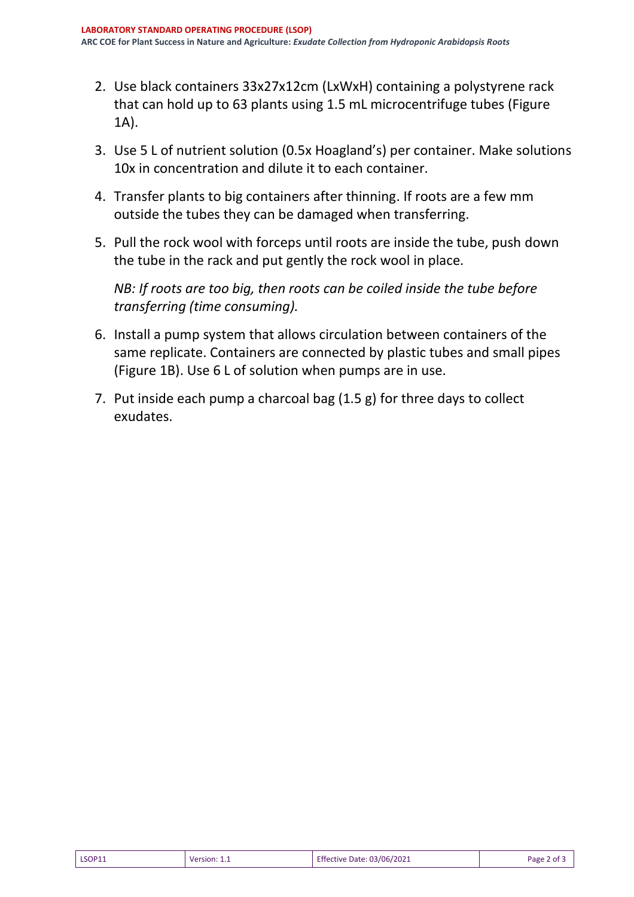- 2. Use black containers 33x27x12cm (LxWxH) containing a polystyrene rack that can hold up to 63 plants using 1.5 mL microcentrifuge tubes (Figure 1A).
- 3. Use 5 L of nutrient solution (0.5x Hoagland's) per container. Make solutions 10x in concentration and dilute it to each container.
- 4. Transfer plants to big containers after thinning. If roots are a few mm outside the tubes they can be damaged when transferring.
- 5. Pull the rock wool with forceps until roots are inside the tube, push down the tube in the rack and put gently the rock wool in place.

*NB: If roots are too big, then roots can be coiled inside the tube before transferring (time consuming).* 

- 6. Install a pump system that allows circulation between containers of the same replicate. Containers are connected by plastic tubes and small pipes (Figure 1B). Use 6 L of solution when pumps are in use.
- 7. Put inside each pump a charcoal bag (1.5 g) for three days to collect exudates.

| LSOP11<br>$\cdot$ 03/06/2021<br>Page<br>Date:<br>Version:<br>evito'<br>.<br>________ | ot |
|--------------------------------------------------------------------------------------|----|
|--------------------------------------------------------------------------------------|----|